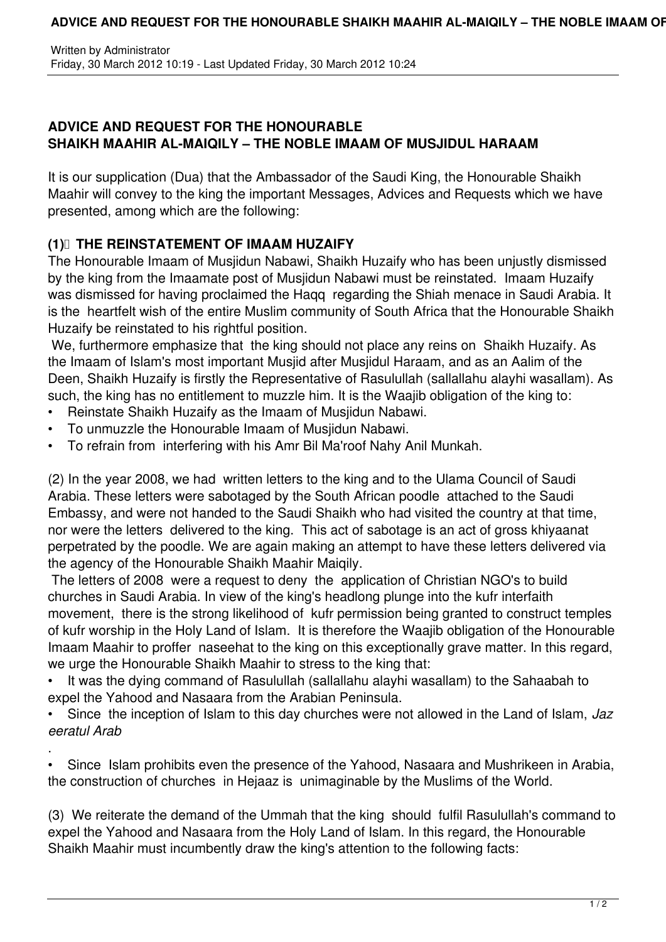Written by Administrator Friday, 30 March 2012 10:19 - Last Updated Friday, 30 March 2012 10:24

## **ADVICE AND REQUEST FOR THE HONOURABLE SHAIKH MAAHIR AL-MAIQILY – THE NOBLE IMAAM OF MUSJIDUL HARAAM**

It is our supplication (Dua) that the Ambassador of the Saudi King, the Honourable Shaikh Maahir will convey to the king the important Messages, Advices and Requests which we have presented, among which are the following:

## **(1) THE REINSTATEMENT OF IMAAM HUZAIFY**

The Honourable Imaam of Musjidun Nabawi, Shaikh Huzaify who has been unjustly dismissed by the king from the Imaamate post of Musjidun Nabawi must be reinstated. Imaam Huzaify was dismissed for having proclaimed the Haqq regarding the Shiah menace in Saudi Arabia. It is the heartfelt wish of the entire Muslim community of South Africa that the Honourable Shaikh Huzaify be reinstated to his rightful position.

 We, furthermore emphasize that the king should not place any reins on Shaikh Huzaify. As the Imaam of Islam's most important Musjid after Musjidul Haraam, and as an Aalim of the Deen, Shaikh Huzaify is firstly the Representative of Rasulullah (sallallahu alayhi wasallam). As such, the king has no entitlement to muzzle him. It is the Waajib obligation of the king to:

- Reinstate Shaikh Huzaify as the Imaam of Musjidun Nabawi.
- To unmuzzle the Honourable Imaam of Musjidun Nabawi.
- To refrain from interfering with his Amr Bil Ma'roof Nahy Anil Munkah.

(2) In the year 2008, we had written letters to the king and to the Ulama Council of Saudi Arabia. These letters were sabotaged by the South African poodle attached to the Saudi Embassy, and were not handed to the Saudi Shaikh who had visited the country at that time, nor were the letters delivered to the king. This act of sabotage is an act of gross khiyaanat perpetrated by the poodle. We are again making an attempt to have these letters delivered via the agency of the Honourable Shaikh Maahir Maiqily.

 The letters of 2008 were a request to deny the application of Christian NGO's to build churches in Saudi Arabia. In view of the king's headlong plunge into the kufr interfaith movement, there is the strong likelihood of kufr permission being granted to construct temples of kufr worship in the Holy Land of Islam. It is therefore the Waajib obligation of the Honourable Imaam Maahir to proffer naseehat to the king on this exceptionally grave matter. In this regard, we urge the Honourable Shaikh Maahir to stress to the king that:

• It was the dying command of Rasulullah (sallallahu alayhi wasallam) to the Sahaabah to expel the Yahood and Nasaara from the Arabian Peninsula.

• Since the inception of Islam to this day churches were not allowed in the Land of Islam, *Jaz eeratul Arab*

. • Since Islam prohibits even the presence of the Yahood, Nasaara and Mushrikeen in Arabia, the construction of churches in Hejaaz is unimaginable by the Muslims of the World.

(3) We reiterate the demand of the Ummah that the king should fulfil Rasulullah's command to expel the Yahood and Nasaara from the Holy Land of Islam. In this regard, the Honourable Shaikh Maahir must incumbently draw the king's attention to the following facts: